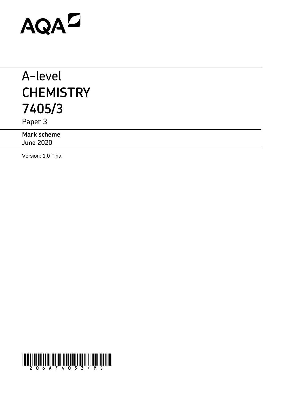# AQAD

## A-level **CHEMISTRY 7405/3**

Paper 3

**Mark scheme** June 2020

Version: 1.0 Final

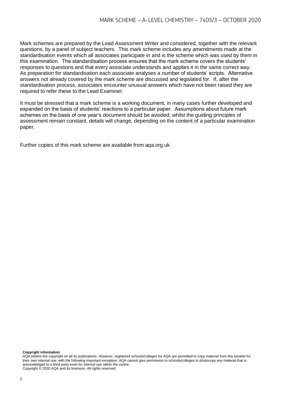Mark schemes are prepared by the Lead Assessment Writer and considered, together with the relevant questions, by a panel of subject teachers. This mark scheme includes any amendments made at the standardisation events which all associates participate in and is the scheme which was used by them in this examination. The standardisation process ensures that the mark scheme covers the students' responses to questions and that every associate understands and applies it in the same correct way. As preparation for standardisation each associate analyses a number of students' scripts. Alternative answers not already covered by the mark scheme are discussed and legislated for. If, after the standardisation process, associates encounter unusual answers which have not been raised they are required to refer these to the Lead Examiner.

It must be stressed that a mark scheme is a working document, in many cases further developed and expanded on the basis of students' reactions to a particular paper. Assumptions about future mark schemes on the basis of one year's document should be avoided; whilst the guiding principles of assessment remain constant, details will change, depending on the content of a particular examination paper.

Further copies of this mark scheme are available from aqa.org.uk

**Copyright information**

AQA retains the copyright on all its publications. However, registered schools/colleges for AQA are permitted to copy material from this booklet for their own internal use, with the following important exception: AQA cannot give permission to schools/colleges to photocopy any material that is acknowledged to a third party even for internal use within the centre. Copyright © 2020 AQA and its licensors. All rights reserved.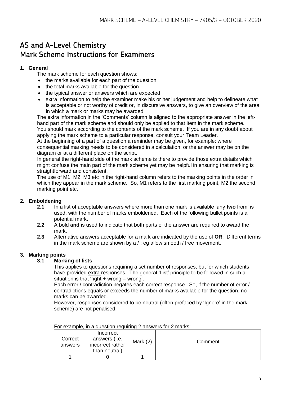### **AS and A-Level Chemistry Mark Scheme Instructions for Examiners**

#### **1. General**

The mark scheme for each question shows:

- the marks available for each part of the question
- the total marks available for the question
- the typical answer or answers which are expected
- extra information to help the examiner make his or her judgement and help to delineate what is acceptable or not worthy of credit or, in discursive answers, to give an overview of the area in which a mark or marks may be awarded.

The extra information in the 'Comments' column is aligned to the appropriate answer in the lefthand part of the mark scheme and should only be applied to that item in the mark scheme. You should mark according to the contents of the mark scheme. If you are in any doubt about applying the mark scheme to a particular response, consult your Team Leader.

At the beginning of a part of a question a reminder may be given, for example: where consequential marking needs to be considered in a calculation; or the answer may be on the diagram or at a different place on the script.

In general the right-hand side of the mark scheme is there to provide those extra details which might confuse the main part of the mark scheme yet may be helpful in ensuring that marking is straightforward and consistent.

The use of M1, M2, M3 etc in the right-hand column refers to the marking points in the order in which they appear in the mark scheme. So, M1 refers to the first marking point, M2 the second marking point etc.

#### **2. Emboldening**

- **2.1** In a list of acceptable answers where more than one mark is available 'any **two** from' is used, with the number of marks emboldened. Each of the following bullet points is a potential mark.
- **2.2** A bold **and** is used to indicate that both parts of the answer are required to award the mark.
- **2.3** Alternative answers acceptable for a mark are indicated by the use of **OR**. Different terms in the mark scheme are shown by a / ; eg allow smooth / free movement.

#### **3. Marking points**

#### **3.1 Marking of lists**

This applies to questions requiring a set number of responses, but for which students have provided extra responses. The general 'List' principle to be followed in such a situation is that 'right  $+$  wrong = wrong'.

Each error / contradiction negates each correct response. So, if the number of error / contradictions equals or exceeds the number of marks available for the question, no marks can be awarded.

However, responses considered to be neutral (often prefaced by 'Ignore' in the mark scheme) are not penalised.

| Correct<br>answers | Incorrect<br>answers (i.e.<br>incorrect rather<br>than neutral) | Mark $(2)$ | Comment |
|--------------------|-----------------------------------------------------------------|------------|---------|
|                    |                                                                 |            |         |

For example, in a question requiring 2 answers for 2 marks: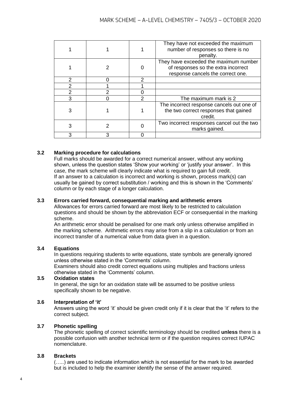|   |   | They have not exceeded the maximum<br>number of responses so there is no<br>penalty.                              |
|---|---|-------------------------------------------------------------------------------------------------------------------|
|   |   | They have exceeded the maximum number<br>of responses so the extra incorrect<br>response cancels the correct one. |
| 2 | 2 |                                                                                                                   |
| 2 |   |                                                                                                                   |
|   |   |                                                                                                                   |
| 3 |   | The maximum mark is 2                                                                                             |
|   |   | The incorrect response cancels out one of<br>the two correct responses that gained<br>credit.                     |
|   |   | Two incorrect responses cancel out the two<br>marks gained.                                                       |
|   |   |                                                                                                                   |

#### **3.2 Marking procedure for calculations**

Full marks should be awarded for a correct numerical answer, without any working shown, unless the question states 'Show your working' or 'justify your answer'. In this case, the mark scheme will clearly indicate what is required to gain full credit. If an answer to a calculation is incorrect and working is shown, process mark(s) can usually be gained by correct substitution / working and this is shown in the 'Comments' column or by each stage of a longer calculation.

#### **3.3 Errors carried forward, consequential marking and arithmetic errors**

Allowances for errors carried forward are most likely to be restricted to calculation questions and should be shown by the abbreviation ECF or consequential in the marking scheme.

An arithmetic error should be penalised for one mark only unless otherwise amplified in the marking scheme. Arithmetic errors may arise from a slip in a calculation or from an incorrect transfer of a numerical value from data given in a question.

#### **3.4 Equations**

In questions requiring students to write equations, state symbols are generally ignored unless otherwise stated in the 'Comments' column.

Examiners should also credit correct equations using multiples and fractions unless otherwise stated in the 'Comments' column.

#### **3.5 Oxidation states**

In general, the sign for an oxidation state will be assumed to be positive unless specifically shown to be negative.

#### **3.6 Interpretation of 'it'**

Answers using the word 'it' should be given credit only if it is clear that the 'it' refers to the correct subject.

#### **3.7 Phonetic spelling**

The phonetic spelling of correct scientific terminology should be credited **unless** there is a possible confusion with another technical term or if the question requires correct IUPAC nomenclature.

#### **3.8 Brackets**

(…..) are used to indicate information which is not essential for the mark to be awarded but is included to help the examiner identify the sense of the answer required.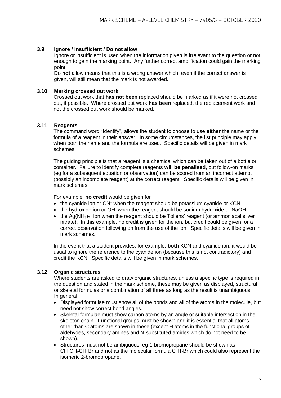#### **3.9 Ignore / Insufficient / Do not allow**

Ignore or insufficient is used when the information given is irrelevant to the question or not enough to gain the marking point. Any further correct amplification could gain the marking point.

Do **not** allow means that this is a wrong answer which, even if the correct answer is given, will still mean that the mark is not awarded.

#### **3.10 Marking crossed out work**

Crossed out work that **has not been** replaced should be marked as if it were not crossed out, if possible. Where crossed out work **has been** replaced, the replacement work and not the crossed out work should be marked.

#### **3.11 Reagents**

The command word "Identify", allows the student to choose to use **either** the name or the formula of a reagent in their answer. In some circumstances, the list principle may apply when both the name and the formula are used. Specific details will be given in mark schemes.

The guiding principle is that a reagent is a chemical which can be taken out of a bottle or container. Failure to identify complete reagents **will be penalised**, but follow-on marks (eg for a subsequent equation or observation) can be scored from an incorrect attempt (possibly an incomplete reagent) at the correct reagent. Specific details will be given in mark schemes.

For example, **no credit** would be given for

- the cyanide ion or CN<sup>-</sup> when the reagent should be potassium cyanide or KCN;
- the hydroxide ion or OH<sup>-</sup> when the reagent should be sodium hydroxide or NaOH:
- the Ag(NH<sub>3</sub>)<sub>2</sub><sup>+</sup> ion when the reagent should be Tollens' reagent (or ammoniacal silver nitrate). In this example, no credit is given for the ion, but credit could be given for a correct observation following on from the use of the ion. Specific details will be given in mark schemes.

In the event that a student provides, for example, **both** KCN and cyanide ion, it would be usual to ignore the reference to the cyanide ion (because this is not contradictory) and credit the KCN. Specific details will be given in mark schemes.

#### **3.12 Organic structures**

Where students are asked to draw organic structures, unless a specific type is required in the question and stated in the mark scheme, these may be given as displayed, structural or skeletal formulas or a combination of all three as long as the result is unambiguous. In general

- Displayed formulae must show all of the bonds and all of the atoms in the molecule, but need not show correct bond angles.
- Skeletal formulae must show carbon atoms by an angle or suitable intersection in the skeleton chain. Functional groups must be shown and it is essential that all atoms other than C atoms are shown in these (except H atoms in the functional groups of aldehydes, secondary amines and N-substituted amides which do not need to be shown).
- Structures must not be ambiguous, eg 1-bromopropane should be shown as  $CH<sub>3</sub>CH<sub>2</sub>CH<sub>2</sub>Br$  and not as the molecular formula  $C<sub>3</sub>H<sub>7</sub>Br$  which could also represent the isomeric 2-bromopropane.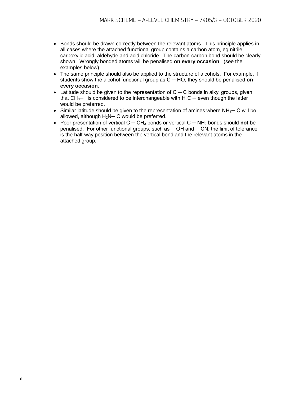- Bonds should be drawn correctly between the relevant atoms. This principle applies in all cases where the attached functional group contains a carbon atom, eg nitrile, carboxylic acid, aldehyde and acid chloride. The carbon-carbon bond should be clearly shown. Wrongly bonded atoms will be penalised **on every occasion**. (see the examples below)
- The same principle should also be applied to the structure of alcohols. For example, if students show the alcohol functional group as C ─ HO, they should be penalised **on every occasion**.
- Latitude should be given to the representation of C ─ C bonds in alkyl groups, given that  $CH_3$ — is considered to be interchangeable with  $H_3C$  — even though the latter would be preferred.
- Similar latitude should be given to the representation of amines where  $NH<sub>2</sub>$  C will be allowed, although  $H_2N-C$  would be preferred.
- Poor presentation of vertical C ─ CH<sup>3</sup> bonds or vertical C ─ NH<sup>2</sup> bonds should **not** be penalised. For other functional groups, such as  $-$  OH and  $-$  CN, the limit of tolerance is the half-way position between the vertical bond and the relevant atoms in the attached group.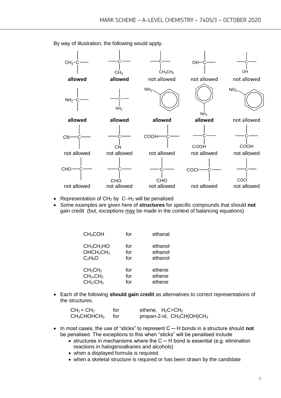

By way of illustration, the following would apply.

- Representation of CH<sup>2</sup> by C−H<sup>2</sup> will be penalised
- Some examples are given here of **structures** for specific compounds that should **not** gain credit (but, exceptions may be made in the context of balancing equations)

| CH <sub>3</sub> COH                | for | ethanal |
|------------------------------------|-----|---------|
| CH <sub>3</sub> CH <sub>2</sub> HO | for | ethanol |
| OHCH <sub>2</sub> CH <sub>3</sub>  | for | ethanol |
| $C_2H_6O$                          | for | ethanol |
| CH <sub>2</sub> CH <sub>2</sub>    | for | ethene  |
| CH <sub>2</sub> .CH <sub>2</sub>   | for | ethene  |
| CH <sub>2</sub> :CH <sub>2</sub>   | for | ethene  |

• Each of the following **should gain credit** as alternatives to correct representations of the structures.

| $CH2 = CH2$                         | for | ethene, $H_2C = CH_2$         |
|-------------------------------------|-----|-------------------------------|
| CH <sub>3</sub> CHOHCH <sub>3</sub> | tor | propan-2-ol, $CH_3CH(OH)CH_3$ |

- In most cases, the use of "sticks" to represent C ─ H bonds in a structure should **not** be penalised. The exceptions to this when "sticks" will be penalised include
	- structures in mechanisms where the C ─ H bond is essential (e.g. elimination reactions in halogenoalkanes and alcohols)
	- when a displayed formula is required
	- when a skeletal structure is required or has been drawn by the candidate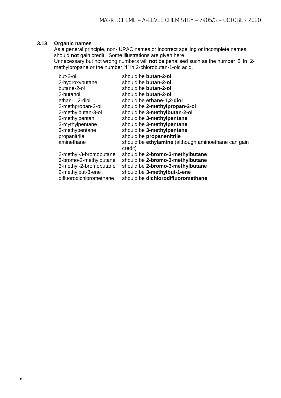#### **3.13 Organic names**

As a general principle, non-IUPAC names or incorrect spelling or incomplete names should **not** gain credit. Some illustrations are given here. Unnecessary but not wrong numbers will **not** be penalised such as the number '2' in 2 methylpropane or the number '1' in 2-chlorobutan-1-oic acid.

| but-2-ol                | should be <b>butan-2-ol</b>                                    |
|-------------------------|----------------------------------------------------------------|
| 2-hydroxybutane         | should be <b>butan-2-ol</b>                                    |
| butane-2-ol             | should be <b>butan-2-ol</b>                                    |
| 2-butanol               | should be <b>butan-2-ol</b>                                    |
| ethan-1,2-diol          | should be ethane-1,2-diol                                      |
| 2-methpropan-2-ol       | should be 2-methylpropan-2-ol                                  |
| 2-methylbutan-3-ol      | should be 3-methylbutan-2-ol                                   |
| 3-methylpentan          | should be 3-methylpentane                                      |
| 3-mythylpentane         | should be 3-methylpentane                                      |
| 3-methypentane          | should be 3-methylpentane                                      |
| propanitrile            | should be propanenitrile                                       |
| aminethane              | should be ethylamine (although aminoethane can gain<br>credit) |
| 2-methyl-3-bromobutane  | should be 2-bromo-3-methylbutane                               |
| 3-bromo-2-methylbutane  | should be 2-bromo-3-methylbutane                               |
| 3-methyl-2-bromobutane  | should be 2-bromo-3-methylbutane                               |
| 2-methylbut-3-ene       | should be 3-methylbut-1-ene                                    |
| difluorodichloromethane | should be dichlorodifluoromethane                              |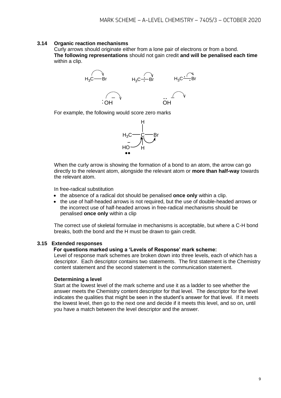#### **3.14 Organic reaction mechanisms**

Curly arrows should originate either from a lone pair of electrons or from a bond. **The following representations** should not gain credit **and will be penalised each time**  within a clip.



For example, the following would score zero marks



When the curly arrow is showing the formation of a bond to an atom, the arrow can go directly to the relevant atom, alongside the relevant atom or **more than half-way** towards the relevant atom.

In free-radical substitution

- the absence of a radical dot should be penalised **once only** within a clip.
- the use of half-headed arrows is not required, but the use of double-headed arrows or the incorrect use of half-headed arrows in free-radical mechanisms should be penalised **once only** within a clip

The correct use of skeletal formulae in mechanisms is acceptable, but where a C-H bond breaks, both the bond and the H must be drawn to gain credit.

#### **3.15 Extended responses**

#### **For questions marked using a 'Levels of Response' mark scheme:**

Level of response mark schemes are broken down into three levels, each of which has a descriptor. Each descriptor contains two statements. The first statement is the Chemistry content statement and the second statement is the communication statement.

#### **Determining a level**

Start at the lowest level of the mark scheme and use it as a ladder to see whether the answer meets the Chemistry content descriptor for that level. The descriptor for the level indicates the qualities that might be seen in the student's answer for that level. If it meets the lowest level, then go to the next one and decide if it meets this level, and so on, until you have a match between the level descriptor and the answer.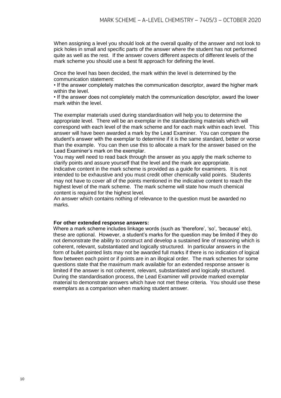When assigning a level you should look at the overall quality of the answer and not look to pick holes in small and specific parts of the answer where the student has not performed quite as well as the rest. If the answer covers different aspects of different levels of the mark scheme you should use a best fit approach for defining the level.

Once the level has been decided, the mark within the level is determined by the communication statement:

• If the answer completely matches the communication descriptor, award the higher mark within the level.

• If the answer does not completely match the communication descriptor, award the lower mark within the level.

The exemplar materials used during standardisation will help you to determine the appropriate level. There will be an exemplar in the standardising materials which will correspond with each level of the mark scheme and for each mark within each level. This answer will have been awarded a mark by the Lead Examiner. You can compare the student's answer with the exemplar to determine if it is the same standard, better or worse than the example. You can then use this to allocate a mark for the answer based on the Lead Examiner's mark on the exemplar.

You may well need to read back through the answer as you apply the mark scheme to clarify points and assure yourself that the level and the mark are appropriate. Indicative content in the mark scheme is provided as a guide for examiners. It is not intended to be exhaustive and you must credit other chemically valid points. Students may not have to cover all of the points mentioned in the indicative content to reach the highest level of the mark scheme. The mark scheme will state how much chemical content is required for the highest level.

An answer which contains nothing of relevance to the question must be awarded no marks.

#### **For other extended response answers:**

Where a mark scheme includes linkage words (such as 'therefore', 'so', 'because' etc), these are optional. However, a student's marks for the question may be limited if they do not demonstrate the ability to construct and develop a sustained line of reasoning which is coherent, relevant, substantiated and logically structured. In particular answers in the form of bullet pointed lists may not be awarded full marks if there is no indication of logical flow between each point or if points are in an illogical order. The mark schemes for some questions state that the maximum mark available for an extended response answer is limited if the answer is not coherent, relevant, substantiated and logically structured. During the standardisation process, the Lead Examiner will provide marked exemplar material to demonstrate answers which have not met these criteria. You should use these exemplars as a comparison when marking student answer.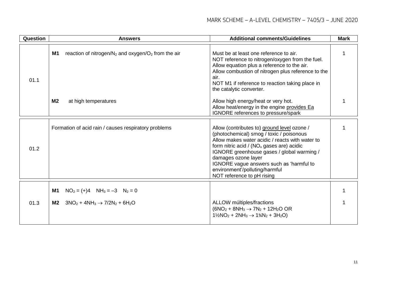| Question | <b>Answers</b>                                                                         | <b>Additional comments/Guidelines</b>                                                                                                                                                                                                                                                                                                                                      | <b>Mark</b> |
|----------|----------------------------------------------------------------------------------------|----------------------------------------------------------------------------------------------------------------------------------------------------------------------------------------------------------------------------------------------------------------------------------------------------------------------------------------------------------------------------|-------------|
| 01.1     | M <sub>1</sub><br>reaction of nitrogen/ $N_2$ and oxygen/ $O_2$ from the air           | Must be at least one reference to air.<br>NOT reference to nitrogen/oxygen from the fuel.<br>Allow equation plus a reference to the air.<br>Allow combustion of nitrogen plus reference to the<br>air.<br>NOT M1 if reference to reaction taking place in<br>the catalytic converter.                                                                                      |             |
|          | M <sub>2</sub><br>at high temperatures                                                 | Allow high energy/heat or very hot.<br>Allow heat/energy in the engine provides Ea<br>IGNORE references to pressure/spark                                                                                                                                                                                                                                                  |             |
| 01.2     | Formation of acid rain / causes respiratory problems                                   | Allow (contributes to) ground level ozone /<br>(photochemical) smog / toxic / poisonous<br>Allow makes water acidic / reacts with water to<br>form nitric acid / $(NOx$ gases are) acidic<br>IGNORE greenhouse gases / global warming /<br>damages ozone layer<br>IGNORE vague answers such as 'harmful to<br>environment'/polluting/harmful<br>NOT reference to pH rising |             |
| 01.3     | $NO2 = (+)4$ $NH3 = -3$ $N2 = 0$<br>M1<br>$3NO2 + 4NH3 \rightarrow 7/2N2 + 6H2O$<br>M2 | ALLOW múltiples/fractions<br>$(6NO2 + 8NH3 \rightarrow 7N2 + 12H2O OR$<br>$1\frac{1}{2}NO_2 + 2NH_3 \rightarrow 1\frac{3}{4}N_2 + 3H_2O$                                                                                                                                                                                                                                   |             |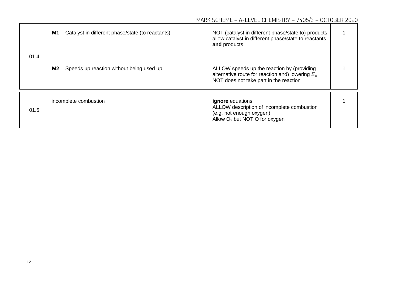|      | Catalyst in different phase/state (to reactants)<br>M1 | NOT (catalyst in different phase/state to) products<br>allow catalyst in different phase/state to reactants<br>and products                |  |
|------|--------------------------------------------------------|--------------------------------------------------------------------------------------------------------------------------------------------|--|
| 01.4 | M2<br>Speeds up reaction without being used up         | ALLOW speeds up the reaction by (providing<br>alternative route for reaction and) lowering $E_a$<br>NOT does not take part in the reaction |  |
| 01.5 | incomplete combustion                                  | <b>ignore</b> equations<br>ALLOW description of incomplete combustion<br>(e.g. not enough oxygen)<br>Allow $O_2$ but NOT O for oxygen      |  |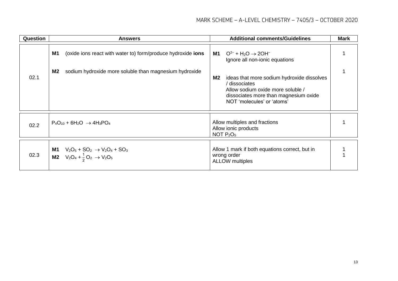| Question | <b>Answers</b>                                                                                                | <b>Additional comments/Guidelines</b>                                                                                                                                         | <b>Mark</b> |
|----------|---------------------------------------------------------------------------------------------------------------|-------------------------------------------------------------------------------------------------------------------------------------------------------------------------------|-------------|
|          | M1<br>(oxide ions react with water to) form/produce hydroxide <b>ions</b>                                     | $O^{2-}$ + H <sub>2</sub> O $\rightarrow$ 2OH <sup>-</sup><br>M1<br>Ignore all non-ionic equations                                                                            |             |
| 02.1     | M <sub>2</sub><br>sodium hydroxide more soluble than magnesium hydroxide                                      | M2<br>ideas that more sodium hydroxide dissolves<br>/ dissociates<br>Allow sodium oxide more soluble /<br>dissociates more than magnesium oxide<br>NOT 'molecules' or 'atoms' |             |
| 02.2     | $P_4O_{10}$ + 6H <sub>2</sub> O $\rightarrow$ 4H <sub>3</sub> PO <sub>4</sub>                                 | Allow multiples and fractions<br>Allow ionic products<br>NOT $P_2O_5$                                                                                                         |             |
| 02.3     | <b>M1</b> $V_2O_5 + SO_2 \rightarrow V_2O_4 + SO_3$<br><b>M2</b> $V_2O_4 + \frac{1}{2}O_2 \rightarrow V_2O_5$ | Allow 1 mark if both equations correct, but in<br>wrong order<br><b>ALLOW</b> multiples                                                                                       |             |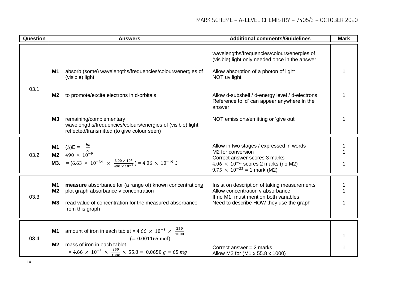| Question | <b>Answers</b>                                                                                                                                                                                                                                 | <b>Additional comments/Guidelines</b>                                                                                                                                                  | <b>Mark</b> |
|----------|------------------------------------------------------------------------------------------------------------------------------------------------------------------------------------------------------------------------------------------------|----------------------------------------------------------------------------------------------------------------------------------------------------------------------------------------|-------------|
|          |                                                                                                                                                                                                                                                | wavelengths/frequencies/colours/energies of<br>(visible) light only needed once in the answer                                                                                          |             |
|          | absorb (some) wavelengths/frequencies/colours/energies of<br>M1<br>(visible) light                                                                                                                                                             | Allow absorption of a photon of light<br>NOT uv light                                                                                                                                  | 1           |
| 03.1     | to promote/excite electrons in d-orbitals<br>M <sub>2</sub>                                                                                                                                                                                    | Allow d-subshell / d-energy level / d-electrons<br>Reference to 'd' can appear anywhere in the<br>answer                                                                               | 1           |
|          | <b>M3</b><br>remaining/complementary<br>wavelengths/frequencies/colours/energies of (visible) light<br>reflected/transmitted (to give colour seen)                                                                                             | NOT emissions/emitting or 'give out'                                                                                                                                                   | 1           |
| 03.2     | <b>M1</b> ( $\triangle$ ) <b>E</b> = $\frac{hc}{\lambda}$<br><b>M2</b> 490 × 10 <sup>-9</sup><br><b>M3.</b> = $(6.63 \times 10^{-34} \times \frac{3.00 \times 10^8}{490 \times 10^{-9}}) = 4.06 \times 10^{-19}$ J                             | Allow in two stages / expressed in words<br>M2 for conversion<br>Correct answer scores 3 marks<br>$4.06 \times 10^{-n}$ scores 2 marks (no M2)<br>$9.75 \times 10^{-32} = 1$ mark (M2) |             |
| 03.3     | measure absorbance for (a range of) known concentrations<br>M1<br>M <sub>2</sub><br>plot graph absorbance v concentration<br>read value of concentration for the measured absorbance<br><b>M3</b><br>from this graph                           | Insist on description of taking measurements<br>Allow concentration v absorbance<br>If no M1, must mention both variables<br>Need to describe HOW they use the graph                   | 1<br>1      |
| 03.4     | amount of iron in each tablet = $4.66 \times 10^{-3} \times \frac{250}{1000}$<br>M1<br>$(= 0.001165 \text{ mol})$<br>mass of iron in each tablet<br>M <sub>2</sub><br>= 4.66 × 10 <sup>-3</sup> × $\frac{250}{1000}$ × 55.8 = 0.0650 g = 65 mg | Correct answer $= 2$ marks<br>Allow M2 for (M1 x 55.8 x 1000)                                                                                                                          | 1<br>1      |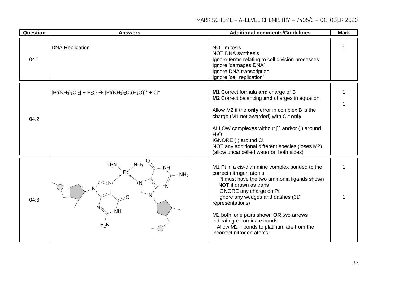#### MARK SCHEME – A-LEVEL CHEMISTRY – 7405/3 – OCTOBER 2020

| Question | <b>Answers</b>                                                                              | <b>Additional comments/Guidelines</b>                                                                                                                                                                                                                                                                                                                                                 | <b>Mark</b> |
|----------|---------------------------------------------------------------------------------------------|---------------------------------------------------------------------------------------------------------------------------------------------------------------------------------------------------------------------------------------------------------------------------------------------------------------------------------------------------------------------------------------|-------------|
| 04.1     | <b>DNA Replication</b>                                                                      | <b>NOT mitosis</b><br><b>NOT DNA synthesis</b><br>Ignore terms relating to cell division processes<br>Ignore 'damages DNA'<br>Ignore DNA transcription<br>Ignore 'cell replication'                                                                                                                                                                                                   | 1           |
| 04.2     | $[Pt(NH3)2Cl2] + H2O \rightarrow [Pt(NH3)2Cl(H2O)]+ + Cl-$                                  | M1 Correct formula and charge of B<br>M2 Correct balancing and charges in equation<br>Allow M2 if the only error in complex B is the<br>charge (M1 not awarded) with Cl <sup>-</sup> only<br>ALLOW complexes without [] and/or () around<br>H <sub>2</sub> O<br>IGNORE () around Cl<br>NOT any additional different species (loses M2)<br>(allow uncancelled water on both sides)     | 1           |
| 04.3     | O<br>NH <sub>3</sub><br>$H_3N$<br><b>NH</b><br>Ρt<br>NH <sub>2</sub><br><b>NH</b><br>$H_2N$ | M1 Pt in a cis-diammine complex bonded to the<br>correct nitrogen atoms<br>Pt must have the two ammonia ligands shown<br>NOT if drawn as trans<br>IGNORE any charge on Pt<br>Ignore any wedges and dashes (3D<br>representations)<br>M2 both lone pairs shown OR two arrows<br>indicating co-ordinate bonds<br>Allow M2 if bonds to platinum are from the<br>incorrect nitrogen atoms | 1           |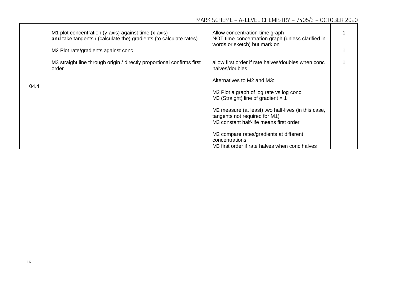|      | M1 plot concentration (y-axis) against time (x-axis)<br>and take tangents / (calculate the) gradients (to calculate rates)<br>M2 Plot rate/gradients against conc | Allow concentration-time graph<br>NOT time-concentration graph (unless clarified in<br>words or sketch) but mark on             |  |
|------|-------------------------------------------------------------------------------------------------------------------------------------------------------------------|---------------------------------------------------------------------------------------------------------------------------------|--|
|      | M3 straight line through origin / directly proportional confirms first<br>order                                                                                   | allow first order if rate halves/doubles when conc<br>halves/doubles                                                            |  |
| 04.4 |                                                                                                                                                                   | Alternatives to M2 and M3:                                                                                                      |  |
|      |                                                                                                                                                                   | M2 Plot a graph of log rate vs log conc<br>$M3$ (Straight) line of gradient = 1                                                 |  |
|      |                                                                                                                                                                   | M2 measure (at least) two half-lives (in this case,<br>tangents not required for M1)<br>M3 constant half-life means first order |  |
|      |                                                                                                                                                                   | M2 compare rates/gradients at different<br>concentrations<br>M3 first order if rate halves when conc halves                     |  |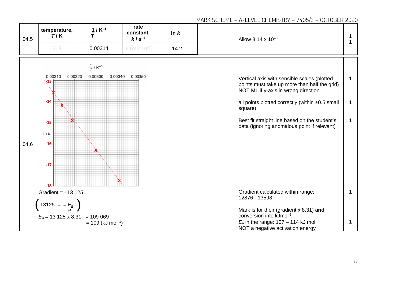#### **rate temperature, 1 / K**<sup>−</sup>**<sup>1</sup> ln** *k* **constant,**  *T* **/ K** Allow 3.14 x 10<sup>-3</sup> 1  *T* 04.5 *k* **/ s**<sup>−</sup>**<sup>1</sup>** 1 318 **0.00314** 6.63 x 10<sup>-7</sup> − **14.2**  $\frac{1}{T}$ /K<sup>-1</sup> 0.00320 0.00330 0.00340 0.00310 0.00350 Vertical axis with sensible scales (plotted 1  $-13$ points must take up more than half the grid) NOT M1 if y-axis in wrong direction  $-14$ all points plotted correctly (within  $±0.5$  small 1 À square) Best fit straight line based on the student's 1 Ŵ  $-15$ data (ignoring anomalous point if relevant) In  $k$ 04.6  $-16$  $-17$ x  $-18$ Gradient = −13 125 Gradient calculated within range: 1 12876 - 13598  $\left( -13125 = \frac{-E_a}{R} \right)$ Mark is for their (gradient x 8.31) **and R** conversion into kJmol-1  $E_a = 13125 \times 8.31 = 109069$  $E_a$  in the range: 107 – 114 kJ mol<sup>-1</sup> 1  $= 109$  (kJ mol<sup>-1</sup>) NOT a negative activation energy

#### MARK SCHEME – A-LEVEL CHEMISTRY – 7405/3 – OCTOBER 2020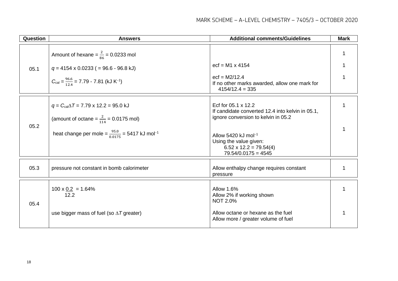| Question | <b>Answers</b>                                                                                                                                                                                      | <b>Additional comments/Guidelines</b>                                                                                                                                                                                                 | <b>Mark</b> |
|----------|-----------------------------------------------------------------------------------------------------------------------------------------------------------------------------------------------------|---------------------------------------------------------------------------------------------------------------------------------------------------------------------------------------------------------------------------------------|-------------|
| 05.1     | Amount of hexane = $\frac{2}{86}$ = 0.0233 mol<br>$q = 4154 \times 0.0233$ ( = 96.6 - 96.8 kJ)<br>$C_{\text{cal}} = \frac{96.6}{12.4} = 7.79 - 7.81 \text{ (kJ K}^{-1)}$                            | $ect = M1 \times 4154$<br>$ect = M2/12.4$<br>If no other marks awarded, allow one mark for<br>$4154/12.4 = 335$                                                                                                                       | 1           |
| 05.2     | $q = C_{\text{cal}} \Delta T = 7.79 \times 12.2 = 95.0 \text{ kJ}$<br>(amount of octane = $\frac{2}{114}$ = 0.0175 mol)<br>heat change per mole = $\frac{95.0}{0.0175}$ = 5417 kJ mol <sup>-1</sup> | Ecf for 05.1 x 12.2<br>If candidate converted 12.4 into kelvin in 05.1,<br>ignore conversion to kelvin in 05.2<br>Allow 5420 kJ mol <sup>-1</sup><br>Using the value given:<br>$6.52 \times 12.2 = 79.54(4)$<br>$79.54/0.0175 = 4545$ | 1           |
| 05.3     | pressure not constant in bomb calorimeter                                                                                                                                                           | Allow enthalpy change requires constant<br>pressure                                                                                                                                                                                   | 1           |
| 05.4     | $100 \times 0.2 = 1.64\%$<br>12.2<br>use bigger mass of fuel (so $\Delta T$ greater)                                                                                                                | <b>Allow 1.6%</b><br>Allow 2% if working shown<br><b>NOT 2.0%</b><br>Allow octane or hexane as the fuel<br>Allow more / greater volume of fuel                                                                                        | 1           |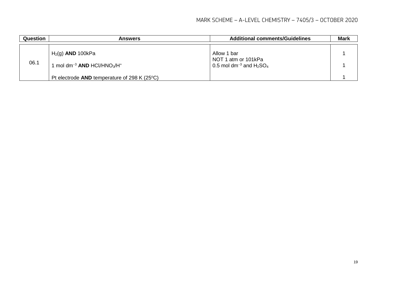| Question | <b>Answers</b>                                                                      | <b>Additional comments/Guidelines</b>                                      | <b>Mark</b> |
|----------|-------------------------------------------------------------------------------------|----------------------------------------------------------------------------|-------------|
| 06.1     | $H2(g)$ AND 100kPa<br>mol dm <sup>-3</sup> AND HCl/HNO <sub>3</sub> /H <sup>+</sup> | Allow 1 bar<br>NOT 1 atm or 101kPa<br>0.5 mol dm <sup>-3</sup> and $H2SO4$ |             |
|          | Pt electrode AND temperature of 298 K (25 $\textdegree$ C)                          |                                                                            |             |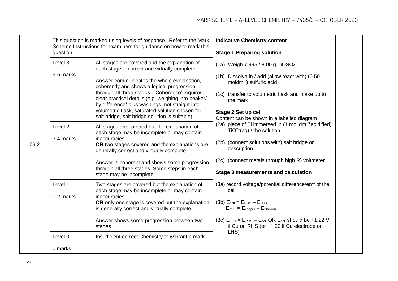|      | This question is marked using levels of response. Refer to the Mark<br>Scheme Instructions for examiners for guidance on how to mark this<br>question |                                                                                                                                                                                                                                                                                                                                                           | <b>Indicative Chemistry content</b>                                                                              |  |
|------|-------------------------------------------------------------------------------------------------------------------------------------------------------|-----------------------------------------------------------------------------------------------------------------------------------------------------------------------------------------------------------------------------------------------------------------------------------------------------------------------------------------------------------|------------------------------------------------------------------------------------------------------------------|--|
| 06.2 |                                                                                                                                                       |                                                                                                                                                                                                                                                                                                                                                           | <b>Stage 1 Preparing solution</b>                                                                                |  |
|      | Level 3<br>5-6 marks                                                                                                                                  | All stages are covered and the explanation of<br>each stage is correct and virtually complete                                                                                                                                                                                                                                                             | (1a) Weigh 7.995 / 8.00 g TiOSO <sub>4</sub>                                                                     |  |
|      |                                                                                                                                                       | Answer communicates the whole explanation,<br>coherently and shows a logical progression<br>through all three stages. 'Coherence' requires<br>clear practical details (e.g. weighing into beaker/<br>by difference/ plus washings, not straight into<br>volumetric flask, saturated solution chosen for<br>salt bridge, salt bridge solution is suitable) | (1b) Dissolve in / add (allow react with) (0.50<br>moldm <sup>-3</sup> ) sulfuric acid                           |  |
|      |                                                                                                                                                       |                                                                                                                                                                                                                                                                                                                                                           | (1c) transfer to volumetric flask and make up to<br>the mark                                                     |  |
|      |                                                                                                                                                       |                                                                                                                                                                                                                                                                                                                                                           | Stage 2 Set up cell<br>Content can be shown in a labelled diagram                                                |  |
|      | Level <sub>2</sub><br>3-4 marks                                                                                                                       | All stages are covered but the explanation of<br>each stage may be incomplete or may contain                                                                                                                                                                                                                                                              | (2a) piece of Ti immersed in $(1 \text{ mol dm}^{-3} \text{ acidified})$<br>$TiO2+(aq) / the solution$           |  |
|      |                                                                                                                                                       | inaccuracies<br>OR two stages covered and the explanations are<br>generally correct and virtually complete                                                                                                                                                                                                                                                | (2b) (connect solutions with) salt bridge or<br>description                                                      |  |
|      |                                                                                                                                                       | Answer is coherent and shows some progression<br>through all three stages. Some steps in each<br>stage may be incomplete                                                                                                                                                                                                                                  | (2c) (connect metals through high R) voltmeter                                                                   |  |
|      |                                                                                                                                                       |                                                                                                                                                                                                                                                                                                                                                           | Stage 3 measurements and calculation                                                                             |  |
|      | Level 1<br>1-2 marks                                                                                                                                  | Two stages are covered but the explanation of<br>each stage may be incomplete or may contain<br><i>inaccuracies</i>                                                                                                                                                                                                                                       | (3a) record voltage/potential difference/emf of the<br>cell                                                      |  |
|      |                                                                                                                                                       | OR only one stage is covered but the explanation<br>is generally correct and virtually complete                                                                                                                                                                                                                                                           | $(3b)$ $E_{cell} = E_{RHS} - E_{LHS}$<br>$E_{cell} = E_{copper} - E_{titanium}$                                  |  |
|      |                                                                                                                                                       | Answer shows some progression between two<br>stages                                                                                                                                                                                                                                                                                                       | (3c) $E_{LHS} = E_{RHS} - E_{cell}$ OR $E_{cell}$ should be +1.22 V<br>if Cu on RHS (or -1.22 if Cu electrode on |  |
|      | Level 0                                                                                                                                               | Insufficient correct Chemistry to warrant a mark                                                                                                                                                                                                                                                                                                          | LHS)                                                                                                             |  |
|      | 0 marks                                                                                                                                               |                                                                                                                                                                                                                                                                                                                                                           |                                                                                                                  |  |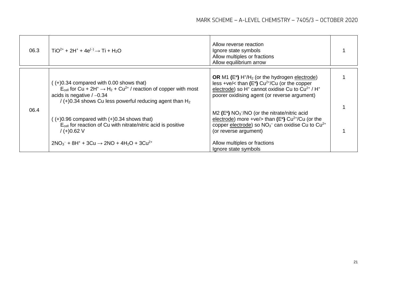| 06.3 | $TiO^{2+} + 2H^{+} + 4e^{(-)} \rightarrow Ti + H_{2}O$                                                                                                                                                                                                                 | Allow reverse reaction<br>Ignore state symbols<br>Allow multiples or fractions<br>Allow equilibrium arrow                                                                                                                                                                                    |  |
|------|------------------------------------------------------------------------------------------------------------------------------------------------------------------------------------------------------------------------------------------------------------------------|----------------------------------------------------------------------------------------------------------------------------------------------------------------------------------------------------------------------------------------------------------------------------------------------|--|
| 06.4 | $(+)0.34$ compared with 0.00 shows that)<br>$E_{cell}$ for Cu + 2H <sup>+</sup> $\rightarrow$ H <sub>2</sub> + Cu <sup>2+</sup> / reaction of copper with most<br>acids is negative $/ -0.34$<br>$/$ (+)0.34 shows Cu less powerful reducing agent than H <sub>2</sub> | OR M1 $(E^{\Theta})$ H <sup>+</sup> /H <sub>2</sub> (or the hydrogen electrode)<br>less +ve/< than $(E^{\Theta})$ Cu <sup>2+</sup> /Cu (or the copper<br>electrode) so H <sup>+</sup> cannot oxidise Cu to Cu <sup>2+</sup> / H <sup>+</sup><br>poorer oxidising agent (or reverse argument) |  |
|      | $(+)0.96$ compared with $(+)0.34$ shows that)<br>$E_{cell}$ for reaction of Cu with nitrate/nitric acid is positive<br>$/(+)0.62$ V                                                                                                                                    | $M2$ (E <sup>e</sup> ) NO <sub>3</sub> -/NO (or the nitrate/nitric acid<br>electrode) more +ve/> than $(E^{\theta})$ Cu <sup>2+</sup> /Cu (or the<br>copper electrode) so $NO_3^-$ can oxidise Cu to $Cu^{2+}$<br>(or reverse argument)                                                      |  |
|      | $2NO3- + 8H+ + 3Cu \rightarrow 2NO + 4H2O + 3Cu2+$                                                                                                                                                                                                                     | Allow multiples or fractions<br>Ignore state symbols                                                                                                                                                                                                                                         |  |